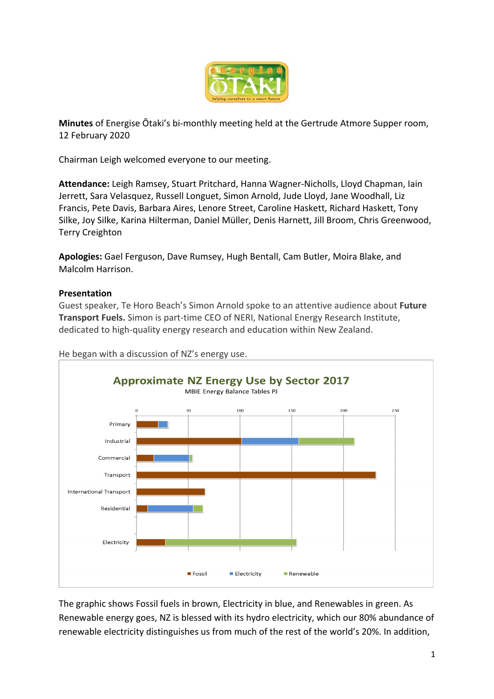

**Minutes** of Energise Ōtaki's bi-monthly meeting held at the Gertrude Atmore Supper room, 12 February 2020

Chairman Leigh welcomed everyone to our meeting.

**Attendance:** Leigh Ramsey, Stuart Pritchard, Hanna Wagner-Nicholls, Lloyd Chapman, Iain Jerrett, Sara Velasquez, Russell Longuet, Simon Arnold, Jude Lloyd, Jane Woodhall, Liz Francis, Pete Davis, Barbara Aires, Lenore Street, Caroline Haskett, Richard Haskett, Tony Silke, Joy Silke, Karina Hilterman, Daniel Müller, Denis Harnett, Jill Broom, Chris Greenwood, Terry Creighton

**Apologies:** Gael Ferguson, Dave Rumsey, Hugh Bentall, Cam Butler, Moira Blake, and Malcolm Harrison.

## **Presentation**

Guest speaker, Te Horo Beach's Simon Arnold spoke to an attentive audience about **Future Transport Fuels.** Simon is part-time CEO of NERI, National Energy Research Institute, dedicated to high-quality energy research and education within New Zealand.



He began with a discussion of NZ's energy use.

The graphic shows Fossil fuels in brown, Electricity in blue, and Renewables in green. As Renewable energy goes, NZ is blessed with its hydro electricity, which our 80% abundance of renewable electricity distinguishes us from much of the rest of the world's 20%. In addition,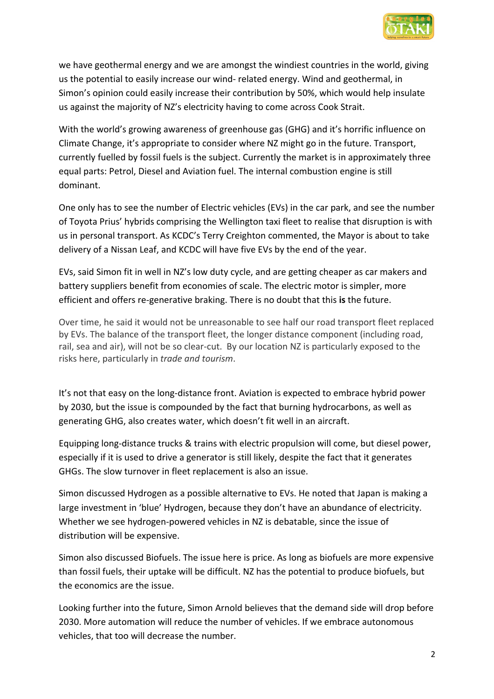

we have geothermal energy and we are amongst the windiest countries in the world, giving us the potential to easily increase our wind- related energy. Wind and geothermal, in Simon's opinion could easily increase their contribution by 50%, which would help insulate us against the majority of NZ's electricity having to come across Cook Strait.

With the world's growing awareness of greenhouse gas (GHG) and it's horrific influence on Climate Change, it's appropriate to consider where NZ might go in the future. Transport, currently fuelled by fossil fuels is the subject. Currently the market is in approximately three equal parts: Petrol, Diesel and Aviation fuel. The internal combustion engine is still dominant.

One only has to see the number of Electric vehicles (EVs) in the car park, and see the number of Toyota Prius' hybrids comprising the Wellington taxi fleet to realise that disruption is with us in personal transport. As KCDC's Terry Creighton commented, the Mayor is about to take delivery of a Nissan Leaf, and KCDC will have five EVs by the end of the year.

EVs, said Simon fit in well in NZ's low duty cycle, and are getting cheaper as car makers and battery suppliers benefit from economies of scale. The electric motor is simpler, more efficient and offers re-generative braking. There is no doubt that this **is** the future.

Over time, he said it would not be unreasonable to see half our road transport fleet replaced by EVs. The balance of the transport fleet, the longer distance component (including road, rail, sea and air), will not be so clear-cut. By our location NZ is particularly exposed to the risks here, particularly in *trade and tourism*.

It's not that easy on the long-distance front. Aviation is expected to embrace hybrid power by 2030, but the issue is compounded by the fact that burning hydrocarbons, as well as generating GHG, also creates water, which doesn't fit well in an aircraft.

Equipping long-distance trucks & trains with electric propulsion will come, but diesel power, especially if it is used to drive a generator is still likely, despite the fact that it generates GHGs. The slow turnover in fleet replacement is also an issue.

Simon discussed Hydrogen as a possible alternative to EVs. He noted that Japan is making a large investment in 'blue' Hydrogen, because they don't have an abundance of electricity. Whether we see hydrogen-powered vehicles in NZ is debatable, since the issue of distribution will be expensive.

Simon also discussed Biofuels. The issue here is price. As long as biofuels are more expensive than fossil fuels, their uptake will be difficult. NZ has the potential to produce biofuels, but the economics are the issue.

Looking further into the future, Simon Arnold believes that the demand side will drop before 2030. More automation will reduce the number of vehicles. If we embrace autonomous vehicles, that too will decrease the number.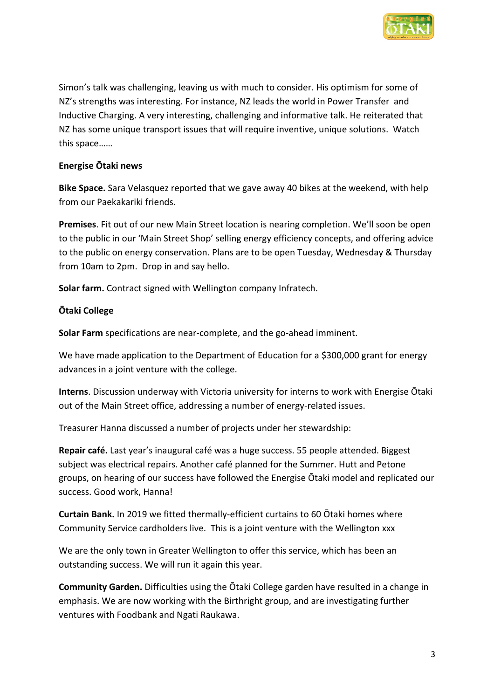

Simon's talk was challenging, leaving us with much to consider. His optimism for some of NZ's strengths was interesting. For instance, NZ leads the world in Power Transfer and Inductive Charging. A very interesting, challenging and informative talk. He reiterated that NZ has some unique transport issues that will require inventive, unique solutions. Watch this space……

## **Energise Ōtaki news**

**Bike Space.** Sara Velasquez reported that we gave away 40 bikes at the weekend, with help from our Paekakariki friends.

**Premises**. Fit out of our new Main Street location is nearing completion. We'll soon be open to the public in our 'Main Street Shop' selling energy efficiency concepts, and offering advice to the public on energy conservation. Plans are to be open Tuesday, Wednesday & Thursday from 10am to 2pm. Drop in and say hello.

**Solar farm.** Contract signed with Wellington company Infratech.

## **Ōtaki College**

**Solar Farm** specifications are near-complete, and the go-ahead imminent.

We have made application to the Department of Education for a \$300,000 grant for energy advances in a joint venture with the college.

**Interns**. Discussion underway with Victoria university for interns to work with Energise Ōtaki out of the Main Street office, addressing a number of energy-related issues.

Treasurer Hanna discussed a number of projects under her stewardship:

**Repair café.** Last year's inaugural café was a huge success. 55 people attended. Biggest subject was electrical repairs. Another café planned for the Summer. Hutt and Petone groups, on hearing of our success have followed the Energise Ōtaki model and replicated our success. Good work, Hanna!

**Curtain Bank.** In 2019 we fitted thermally-efficient curtains to 60 Ōtaki homes where Community Service cardholders live. This is a joint venture with the Wellington xxx

We are the only town in Greater Wellington to offer this service, which has been an outstanding success. We will run it again this year.

**Community Garden.** Difficulties using the Ōtaki College garden have resulted in a change in emphasis. We are now working with the Birthright group, and are investigating further ventures with Foodbank and Ngati Raukawa.